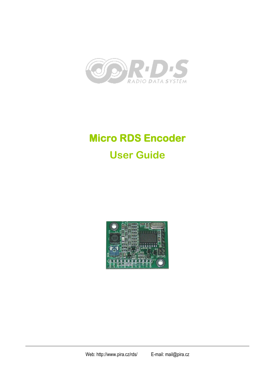

# **Micro RDS Encoder User Guide**



Web: http://www.pira.cz/rds/ E-mail: mail@pira.cz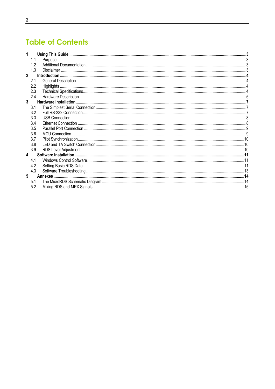# **Table of Contents**

|              | 1.1 |  |
|--------------|-----|--|
|              | 1.2 |  |
|              | 1.3 |  |
| $\mathbf{2}$ |     |  |
|              | 2.1 |  |
|              | 2.2 |  |
|              | 2.3 |  |
|              | 2.4 |  |
| 3            |     |  |
|              | 3.1 |  |
|              | 3.2 |  |
|              | 3.3 |  |
|              | 3.4 |  |
|              | 3.5 |  |
|              | 3.6 |  |
|              | 3.7 |  |
|              | 3.8 |  |
|              | 3.9 |  |
| 4            |     |  |
|              | 4.1 |  |
|              | 4.2 |  |
|              | 4.3 |  |
| 5            |     |  |
|              | 5.1 |  |
|              | 5.2 |  |
|              |     |  |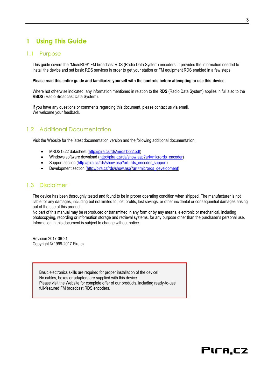# <span id="page-2-0"></span>**1 Using This Guide**

#### <span id="page-2-1"></span>1.1 Purpose

This guide covers the "MicroRDS" FM broadcast RDS (Radio Data System) encoders. It provides the information needed to install the device and set basic RDS services in order to get your station or FM equipment RDS enabled in a few steps.

#### **Please read this entire guide and familiarize yourself with the controls before attempting to use this device.**

Where not otherwise indicated, any information mentioned in relation to the **RDS** (Radio Data System) applies in full also to the **RBDS** (Radio Broadcast Data System).

If you have any questions or comments regarding this document, please contact us via email. We welcome your feedback.

# <span id="page-2-2"></span>1.2 Additional Documentation

Visit the Website for the latest documentation version and the following additional documentation:

- MRDS1322 datasheet [\(http://pira.cz/rds/mrds1322.pdf\)](http://pira.cz/rds/mrds1322.pdf)
- Windows software download [\(http://pira.cz/rds/show.asp?art=micrords\\_encoder\)](http://pira.cz/rds/show.asp?art=micrords_encoder)
- Support section [\(http://pira.cz/rds/show.asp?art=rds\\_encoder\\_support\)](http://pira.cz/rds/show.asp?art=rds_encoder_support)
- Development section [\(http://pira.cz/rds/show.asp?art=micrords\\_development\)](http://pira.cz/rds/show.asp?art=micrords_development)

#### <span id="page-2-3"></span>1.3 Disclaimer

The device has been thoroughly tested and found to be in proper operating condition when shipped. The manufacturer is not liable for any damages, including but not limited to, lost profits, lost savings, or other incidental or consequential damages arising out of the use of this product.

No part of this manual may be reproduced or transmitted in any form or by any means, electronic or mechanical, including photocopying, recording or information storage and retrieval systems, for any purpose other than the purchaser's personal use. Information in this document is subject to change without notice.

Revision 2017-06-21 Copyright © 1999-2017 Pira.cz

> Basic electronics skills are required for proper installation of the device! No cables, boxes or adapters are supplied with this device. Please visit the Website for complete offer of our products, including ready-to-use full-featured FM broadcast RDS encoders.

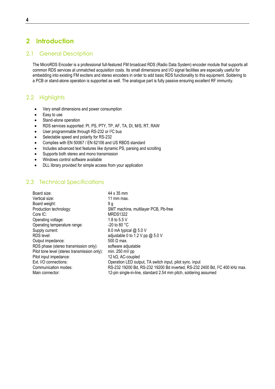# <span id="page-3-0"></span>**2 Introduction**

## <span id="page-3-1"></span>2.1 General Description

The MicroRDS Encoder is a professional full-featured FM broadcast RDS (Radio Data System) encoder module that supports all common RDS services at unmatched acquisition costs. Its small dimensions and I/O signal facilities are especially useful for embedding into existing FM exciters and stereo encoders in order to add basic RDS functionality to this equipment. Soldering to a PCB or stand-alone operation is supported as well. The analogue part is fully passive ensuring excellent RF immunity.

# <span id="page-3-2"></span>2.2 Highlights

- Very small dimensions and power consumption
- Easy to use
- Stand-alone operation
- RDS services supported: PI, PS, PTY, TP, AF, TA, DI, M/S, RT, RAW
- User programmable through RS-232 or I<sup>2</sup>C bus
- Selectable speed and polarity for RS-232
- Complies with EN 50067 / EN 62106 and US RBDS standard
- Includes advanced text features like dynamic PS, parsing and scrolling
- **•** Supports both stereo and mono transmission
- Windows control software available
- DLL library provided for simple access from your application

# <span id="page-3-3"></span>2.3 Technical Specifications

| 44 x 35 mm                                                                               |
|------------------------------------------------------------------------------------------|
| 11 mm max.                                                                               |
| 9 g                                                                                      |
| SMT machine, multilayer PCB, Pb-free                                                     |
| <b>MRDS1322</b>                                                                          |
| 1.8 to 5.5 V                                                                             |
| $-20$ to 80 °C                                                                           |
| 8.0 mA typical @ 5.0 V                                                                   |
| adjustable 0 to 1.2 V pp $@$ 5.0 V                                                       |
| $500 \Omega$ max.                                                                        |
| software adjustable                                                                      |
| min. $250$ mV pp                                                                         |
| 12 k $\Omega$ , AC-coupled                                                               |
| Operation LED output, TA switch input, pilot sync. input                                 |
| RS-232 19200 Bd, RS-232 19200 Bd inverted, RS-232 2400 Bd, I <sup>2</sup> C 400 kHz max. |
| 12-pin single-in-line, standard 2.54 mm pitch, soldering assumed                         |
|                                                                                          |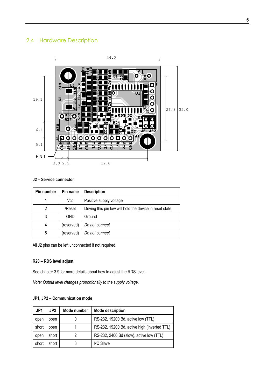# <span id="page-4-0"></span>2.4 Hardware Description



#### **J2 – Service connector**

| Pin number | Pin name   | <b>Description</b>                                        |  |
|------------|------------|-----------------------------------------------------------|--|
|            | Vcc        | Positive supply voltage                                   |  |
| 2          | /Reset     | Driving this pin low will hold the device in reset state. |  |
| 3          | <b>GND</b> | Ground                                                    |  |
| 4          | (reserved) | Do not connect                                            |  |
| 5          | (reserved) | Do not connect                                            |  |

All J2 pins can be left unconnected if not required.

#### **R20 – RDS level adjust**

See chapter 3.9 for more details about how to adjust the RDS level.

*Note: Output level changes proportionally to the supply voltage.*

#### **JP1, JP2 – Communication mode**

| JP1   | JP2   | Mode number | <b>Mode description</b>                      |
|-------|-------|-------------|----------------------------------------------|
| open  | open  |             | RS-232, 19200 Bd, active low (TTL)           |
| short | open  |             | RS-232, 19200 Bd, active high (inverted TTL) |
| open  | short |             | RS-232, 2400 Bd (slow), active low (TTL)     |
| short | short |             | <sup>2</sup> C Slave                         |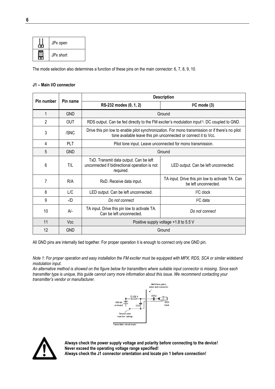| JPx open  |
|-----------|
| JPx short |

The mode selection also determines a function of these pins on the main connector: 6, 7, 8, 9, 10.

#### **J1 – Main I/O connector**

| Pin number                                         | Pin name   | <b>Description</b>                                                                                                                                                  |                                                                          |  |
|----------------------------------------------------|------------|---------------------------------------------------------------------------------------------------------------------------------------------------------------------|--------------------------------------------------------------------------|--|
|                                                    |            | RS-232 modes (0, 1, 2)                                                                                                                                              | $l^2C$ mode (3)                                                          |  |
| 1                                                  | <b>GND</b> |                                                                                                                                                                     | Ground                                                                   |  |
| $\overline{2}$                                     | <b>OUT</b> | RDS output. Can be fed directly to the FM exciter's modulation input <sup>1)</sup> . DC coupled to GND.                                                             |                                                                          |  |
| 3                                                  | /SNC       | Drive this pin low to enable pilot synchronization. For mono transmission or if there's no pilot<br>tone available leave this pin unconnected or connect it to Vcc. |                                                                          |  |
| 4                                                  | <b>PLT</b> |                                                                                                                                                                     | Pilot tone input. Leave unconnected for mono transmission.               |  |
| 5                                                  | <b>GND</b> |                                                                                                                                                                     | Ground                                                                   |  |
| 6                                                  | T/L        | TxD. Transmit data output. Can be left<br>unconnected if bidirectional operation is not<br>required.                                                                | LED output. Can be left unconnected.                                     |  |
| 7                                                  | R/A        | RxD. Receive data input.                                                                                                                                            | TA input. Drive this pin low to activate TA. Can<br>be left unconnected. |  |
| 8                                                  | L/C        | LED output. Can be left unconnected.<br>$I2C$ clock                                                                                                                 |                                                                          |  |
| 9                                                  | $-ID$      | Do not connect                                                                                                                                                      | <sup>2</sup> C data                                                      |  |
| 10                                                 | $A/-$      | TA input. Drive this pin low to activate TA.<br>Can be left unconnected.                                                                                            | Do not connect                                                           |  |
| 11<br>Positive supply voltage +1.8 to 5.5 V<br>Vcc |            |                                                                                                                                                                     |                                                                          |  |
| 12<br><b>GND</b><br>Ground                         |            |                                                                                                                                                                     |                                                                          |  |

All GND pins are internally tied together. For proper operation it is enough to connect only one GND pin.

*Note 1: For proper operation and easy installation the FM exciter must be equipped with MPX, RDS, SCA or similar wideband modulation input.*

*An alternative method is showed on the figure below for transmitters where suitable input connector is missing. Since each transmitter type is unique, this guide cannot carry more information about this issue. We recommend contacting your transmitter's vendor or manufacturer.*





**Always check the power supply voltage and polarity before connecting to the device! Never exceed the operating voltage range specified! Always check the J1 connector orientation and locate pin 1 before connection!**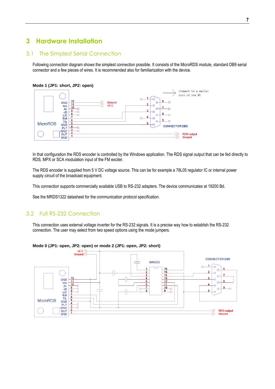# <span id="page-6-0"></span>**3 Hardware Installation**

## <span id="page-6-1"></span>3.1 The Simplest Serial Connection

Following connection diagram shows the simplest connection possible. It consists of the MicroRDS module, standard DB9 serial connector and a few pieces of wires. It is recommended also for familiarization with the device.

#### **Mode 1 (JP1: short, JP2: open)**



In that configuration the RDS encoder is controlled by the Windows application. The RDS signal output that can be fed directly to RDS, MPX or SCA modulation input of the FM exciter.

The RDS encoder is supplied from 5 V DC voltage source. This can be for example a 78L05 regulator IC or internal power supply circuit of the broadcast equipment.

This connection supports commercially available USB to RS-232 adapters. The device communicates at 19200 Bd.

See the MRDS1322 datasheet for the communication protocol specification.

## <span id="page-6-2"></span>3.2 Full RS-232 Connection

This connection uses external voltage inverter for the RS-232 signals. It is a precise way how to establish the RS-232 connection. The user may select from two speed options using the mode jumpers.



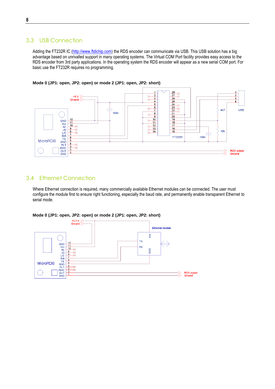# <span id="page-7-0"></span>3.3 USB Connection

Adding the FT232R IC [\(http://www.ftdichip.com\)](http://www.ftdichip.com/) the RDS encoder can communicate via USB. This USB solution has a big advantage based on unrivalled support in many operating systems. The Virtual COM Port facility provides easy access to the RDS encoder from 3rd party applications. In the operating system the RDS encoder will appear as a new serial COM port. For basic use the FT232R requires no programming.



**Mode 0 (JP1: open, JP2: open) or mode 2 (JP1: open, JP2: short)**

# <span id="page-7-1"></span>3.4 Ethernet Connection

Where Ethernet connection is required, many commercially available Ethernet modules can be connected. The user must configure the module first to ensure right functioning, especially the baud rate, and permanently enable transparent Ethernet to serial mode.



#### **Mode 0 (JP1: open, JP2: open) or mode 2 (JP1: open, JP2: short)**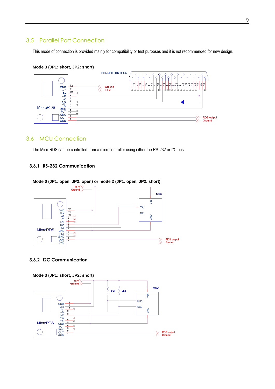# <span id="page-8-0"></span>3.5 Parallel Port Connection

This mode of connection is provided mainly for compatibility or test purposes and it is not recommended for new design.



#### **Mode 3 (JP1: short, JP2: short)**

# <span id="page-8-1"></span>3.6 MCU Connection

The MicroRDS can be controlled from a microcontroller using either the RS-232 or I<sup>2</sup>C bus.

#### **3.6.1 RS-232 Communication**



#### **3.6.2 I2C Communication**

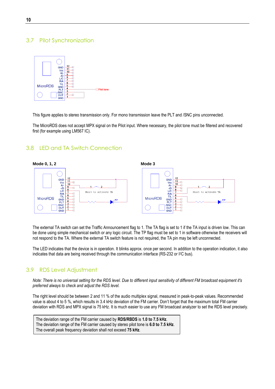# <span id="page-9-0"></span>3.7 Pilot Synchronization



This figure applies to stereo transmission only. For mono transmission leave the PLT and /SNC pins unconnected.

The MicroRDS does not accept MPX signal on the Pilot input. Where necessary, the pilot tone must be filtered and recovered first (for example using LM567 IC).

#### <span id="page-9-1"></span>3.8 LED and TA Switch Connection



The external TA switch can set the Traffic Announcement flag to 1. The TA flag is set to 1 if the TA input is driven low. This can be done using simple mechanical switch or any logic circuit. The TP flag must be set to 1 in software otherwise the receivers will not respond to the TA. Where the external TA switch feature is not required, the TA pin may be left unconnected.

The LED indicates that the device is in operation. It blinks approx. once per second. In addition to the operation indication, it also indicates that data are being received through the communication interface (RS-232 or I<sup>2</sup>C bus).

## <span id="page-9-2"></span>3.9 RDS Level Adjustment

*Note: There is no universal setting for the RDS level. Due to different input sensitivity of different FM broadcast equipment it's preferred always to check and adjust the RDS level.*

The right level should be between 2 and 11 % of the audio multiplex signal, measured in peak-to-peak values. Recommended value is about 4 to 5 %, which results in 3.4 kHz deviation of the FM carrier. Don't forget that the maximum total FM carrier deviation with RDS and MPX signal is 75 kHz. It is much easier to use any FM broadcast analyzer to set the RDS level precisely.

The deviation range of the FM carrier caused by **RDS/RBDS** is **1.0 to 7.5 kHz**. The deviation range of the FM carrier caused by stereo pilot tone is **6.0 to 7.5 kHz**. The overall peak frequency deviation shall not exceed **75 kHz**.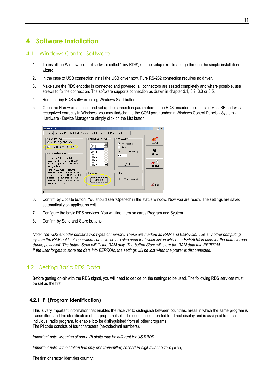# <span id="page-10-0"></span>**4 Software Installation**

## <span id="page-10-1"></span>4.1 Windows Control Software

- 1. To install the Windows control software called 'Tiny RDS', run the setup exe file and go through the simple installation wizard.
- 2. In the case of USB connection install the USB driver now. Pure RS-232 connection requires no driver.
- 3. Make sure the RDS encoder is connected and powered, all connectors are seated completely and where possible, use screws to fix the connection. The software supports connection as drawn in chapter 3.1, 3.2, 3.3 or 3.5.
- 4. Run the Tiny RDS software using Windows Start button.
- 5. Open the Hardware settings and set up the connection parameters. If the RDS encoder is connected via USB and was recognized correctly in Windows, you may find/change the COM port number in Windows Control Panels - System - Hardware - Device Manager or simply click on the List button.

| <b>99 TinyRDS</b>                                                                                                                                                                                                                                          |                                                                                                                    |                                                                                                       | $ \Box$ $\times$              |
|------------------------------------------------------------------------------------------------------------------------------------------------------------------------------------------------------------------------------------------------------------|--------------------------------------------------------------------------------------------------------------------|-------------------------------------------------------------------------------------------------------|-------------------------------|
| Program   Dynamic PS   Radiotext   System   Text Sources                                                                                                                                                                                                   | Hardware                                                                                                           | Preferences                                                                                           |                               |
| Hardware Type <sup>-</sup><br>C MiniRDS (MRDS192)<br>C MicroRDS (MRDS1322)<br>Hardware Description<br>The MRDS1322 based device<br>communicates either via RS232 or<br>I2C bus, depending on the device<br>configuration.<br>If the RS232 mode is set, the | Communication Port<br>LPT1<br>LPT <sub>2</sub><br>COM1<br>COM <sub>2</sub><br>COM3<br>COM4<br>COM5<br>COM6<br>COM7 | Port options<br><b>Bidirectional</b><br>⊽<br>Slow<br>LPT2 address (DEC):<br>632<br>$\mathcal{Y}$ List | Send<br>鳳<br>Store<br>Receive |
| device must be connected to the<br>serial port (COMx) or RS232 to USB<br>adapter. If the I2C mode is set, the<br>device must be connected to the<br>parallel port (LPTx).<br>Ready                                                                         | Connection<br><b>U</b> pdate                                                                                       | <b>Status</b><br>Port COM1 opened                                                                     | X Exit                        |

- 6. Confirm by Update button. You should see "Opened" in the status window. Now you are ready. The settings are saved automatically on application exit.
- 7. Configure the basic RDS services. You will find them on cards Program and System.
- 8. Confirm by Send and Store buttons.

*Note: The RDS encoder contains two types of memory. These are marked as RAM and EEPROM. Like any other computing system the RAM holds all operational data which are also used for transmission whilst the EEPROM is used for the data storage during power-off. The button Send will fill the RAM only. The button Store will store the RAM data into EEPROM. If the user forgets to store the data into EEPROM, the settings will be lost when the power is disconnected.*

# <span id="page-10-2"></span>4.2 Setting Basic RDS Data

Before getting on-air with the RDS signal, you will need to decide on the settings to be used. The following RDS services must be set as the first.

#### **4.2.1 PI (Program Identification)**

This is very important information that enables the receiver to distinguish between countries, areas in which the same program is transmitted, and the identification of the program itself. The code is not intended for direct display and is assigned to each individual radio program, to enable it to be distinguished from all other programs. The PI code consists of four characters (hexadecimal numbers).

*Important note: Meaning of some PI digits may be different for US RBDS.*

*Important note: If the station has only one transmitter, second PI digit must be zero (x0xx).*

The first character identifies country: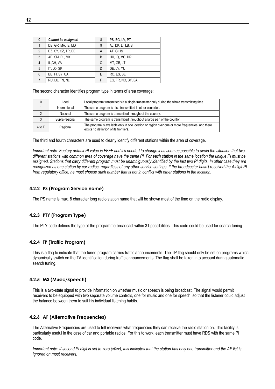| PS, BG, LV, PT<br>Cannot be assigned!<br>8<br>$\mathbf{0}$<br>DE, GR, MA, IE, MD<br>AL, DK, LI, LB, SI<br>9<br>$\overline{2}$<br>DZ, CY, CZ, TR, EE<br>AT, GI, IS<br>A<br>3<br>HU, IQ, MC, HR<br>AD, SM, PL, MK<br>B<br>MT, GB, LT<br>IL, CH, VA<br>C<br>4<br>DE, LY, YU<br>IT, JO, SK<br>5<br>D<br>RO, ES, SE<br>BE, FI, SY, UA<br>6<br>Е<br>EG, FR, NO, BY, BA<br>RU, LU, TN, NL<br>F |  |  |  |  |
|-----------------------------------------------------------------------------------------------------------------------------------------------------------------------------------------------------------------------------------------------------------------------------------------------------------------------------------------------------------------------------------------|--|--|--|--|
|                                                                                                                                                                                                                                                                                                                                                                                         |  |  |  |  |
|                                                                                                                                                                                                                                                                                                                                                                                         |  |  |  |  |
|                                                                                                                                                                                                                                                                                                                                                                                         |  |  |  |  |
|                                                                                                                                                                                                                                                                                                                                                                                         |  |  |  |  |
|                                                                                                                                                                                                                                                                                                                                                                                         |  |  |  |  |
|                                                                                                                                                                                                                                                                                                                                                                                         |  |  |  |  |
|                                                                                                                                                                                                                                                                                                                                                                                         |  |  |  |  |
|                                                                                                                                                                                                                                                                                                                                                                                         |  |  |  |  |

The second character identifies program type in terms of area coverage:

|                                                                                           | Local                                                               | Local program transmitted via a single transmitter only during the whole transmitting time.                                               |
|-------------------------------------------------------------------------------------------|---------------------------------------------------------------------|-------------------------------------------------------------------------------------------------------------------------------------------|
| The same program is also transmitted in other countries.<br>International                 |                                                                     |                                                                                                                                           |
|                                                                                           | The same program is transmitted throughout the country.<br>National |                                                                                                                                           |
| The same program is transmitted throughout a large part of the country.<br>Supra-regional |                                                                     |                                                                                                                                           |
| 4 to F                                                                                    | Regional                                                            | The program is available only in one location or region over one or more frequencies, and there<br>exists no definition of its frontiers. |

The third and fourth characters are used to clearly identify different stations within the area of coverage.

*Important note: Factory default PI value is FFFF and it's needed to change it as soon as possible to avoid the situation that two different stations with common area of coverage have the same PI. For each station in the same location the unique PI must be assigned. Stations that carry different program must be unambiguously identified by the last two PI digits. In other case they are recognized as one station by car radios, regardless of any other service settings. If the broadcaster hasn't received the 4-digit PI from regulatory office, he must choose such number that is not in conflict with other stations in the location.*

#### **4.2.2 PS (Program Service name)**

The PS name is max. 8 character long radio station name that will be shown most of the time on the radio display.

#### **4.2.3 PTY (Program Type)**

The PTY code defines the type of the programme broadcast within 31 possibilities. This code could be used for search tuning.

#### **4.2.4 TP (Traffic Program)**

This is a flag to indicate that the tuned program carries traffic announcements. The TP flag should only be set on programs which dynamically switch on the TA identification during traffic announcements. The flag shall be taken into account during automatic search tuning.

#### **4.2.5 MS (Music/Speech)**

This is a two-state signal to provide information on whether music or speech is being broadcast. The signal would permit receivers to be equipped with two separate volume controls, one for music and one for speech, so that the listener could adjust the balance between them to suit his individual listening habits.

#### **4.2.6 AF (Alternative Frequencies)**

The Alternative Frequencies are used to tell receivers what frequencies they can receive the radio station on. This facility is particularly useful in the case of car and portable radios. For this to work, each transmitter must have RDS with the same PI code.

*Important note: If second PI digit is set to zero (x0xx), this indicates that the station has only one transmitter and the AF list is ignored on most receivers.*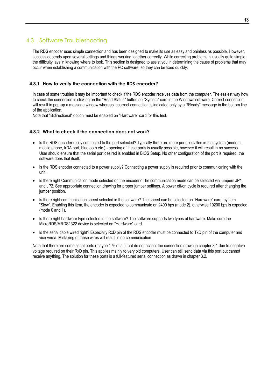# <span id="page-12-0"></span>4.3 Software Troubleshooting

The RDS encoder uses simple connection and has been designed to make its use as easy and painless as possible. However, success depends upon several settings and things working together correctly. While correcting problems is usually quite simple, the difficulty lays in knowing where to look. This section is designed to assist you in determining the cause of problems that may occur when establishing a communication with the PC software, so they can be fixed quickly.

#### **4.3.1 How to verify the connection with the RDS encoder?**

In case of some troubles it may be important to check if the RDS encoder receives data from the computer. The easiest way how to check the connection is clicking on the "Read Status" button on "System" card in the Windows software. Correct connection will result in pop-up a message window whereas incorrect connection is indicated only by a "!Ready" message in the bottom line of the application.

Note that "Bidirectional" option must be enabled on "Hardware" card for this test.

#### **4.3.2 What to check if the connection does not work?**

- Is the RDS encoder really connected to the port selected? Typically there are more ports installed in the system (modem, mobile phone, IrDA port, bluetooth etc.) - opening of these ports is usually possible, however it will result in no success. User should ensure that the serial port desired is enabled in BIOS Setup. No other configuration of the port is required, the software does that itself.
- Is the RDS encoder connected to a power supply? Connecting a power supply is required prior to communicating with the unit.
- Is there right Communication mode selected on the encoder? The communication mode can be selected via jumpers JP1 and JP2. See appropriate connection drawing for proper jumper settings. A power off/on cycle is required after changing the jumper position.
- Is there right communication speed selected in the software? The speed can be selected on "Hardware" card, by item "Slow". Enabling this item, the encoder is expected to communicate on 2400 bps (mode 2), otherwise 19200 bps is expected (mode 0 and 1).
- Is there right hardware type selected in the software? The software supports two types of hardware. Make sure the MicroRDS/MRDS1322 device is selected on "Hardware" card.
- Is the serial cable wired right? Especially RxD pin of the RDS encoder must be connected to TxD pin of the computer and vice versa. Mistaking of these wires will result in no communication.

Note that there are some serial ports (maybe 1 % of all) that do not accept the connection drawn in chapter 3.1 due to negative voltage required on their RxD pin. This applies mainly to very old computers. User can still send data via this port but cannot receive anything. The solution for these ports is a full-featured serial connection as drawn in chapter 3.2.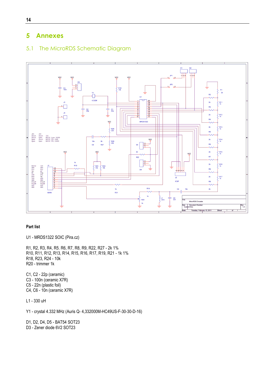# <span id="page-13-0"></span>**5 Annexes**

# <span id="page-13-1"></span>5.1 The MicroRDS Schematic Diagram



#### **Part list**

U1 - MRDS1322 SOIC (Pira.cz)

R1, R2, R3, R4, R5. R6, R7, R8, R9, R22, R27 - 2k 1% R10, R11, R12, R13, R14, R15, R16, R17, R19, R21 - 1k 1% R18, R23, R24 - 10k R20 - trimmer 1k

C1, C2 - 22p (ceramic) C3 - 100n (ceramic X7R) C5 - 22n (plastic foil) C4, C6 - 10n (ceramic X7R)

L1 - 330 uH

Y1 - crystal 4.332 MHz (Auris Q- 4,332000M-HC49US-F-30-30-D-16)

D1, D2, D4, D5 - BAT54 SOT23 D3 - Zener diode 6V2 SOT23